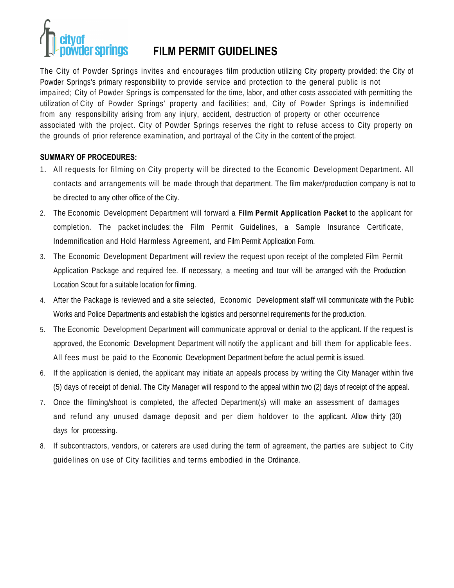# vder springs

## **FILM PERMIT GUIDELINES**

The City of Powder Springs invites and encourages film production utilizing City property provided: the City of Powder Springs's primary responsibility to provide service and protection to the general public is not impaired; City of Powder Springs is compensated for the time, labor, and other costs associated with permitting the utilization of City of Powder Springs' property and facilities; and, City of Powder Springs is indemnified from any responsibility arising from any injury, accident, destruction of property or other occurrence associated with the project. City of Powder Springs reserves the right to refuse access to City property on the grounds of prior reference examination, and portrayal of the City in the content of the project.

#### **SUMMARY OF PROCEDURES:**

- 1. All requests for filming on City property will be directed to the Economic Development Department. All contacts and arrangements will be made through that department. The film maker/production company is not to be directed to any other office of the City.
- 2. The Economic Development Department will forward a **Film Permit Application Packet** to the applicant for completion. The packet includes: the Film Permit Guidelines, a Sample Insurance Certificate, Indemnification and Hold Harmless Agreement, and Film Permit Application Form.
- 3. The Economic Development Department will review the request upon receipt of the completed Film Permit Application Package and required fee. If necessary, a meeting and tour will be arranged with the Production Location Scout for a suitable location for filming.
- 4. After the Package is reviewed and a site selected, Economic Development staff will communicate with the Public Works and Police Departments and establish the logistics and personnel requirements for the production.
- 5. The Economic Development Department will communicate approval or denial to the applicant. If the request is approved, the Economic Development Department will notify the applicant and bill them for applicable fees. All fees must be paid to the Economic Development Department before the actual permit is issued.
- 6. If the application is denied, the applicant may initiate an appeals process by writing the City Manager within five (5) days of receipt of denial. The City Manager will respond to the appeal within two (2) days of receipt of the appeal.
- 7. Once the filming/shoot is completed, the affected Department(s) will make an assessment of damages and refund any unused damage deposit and per diem holdover to the applicant. Allow thirty (30) days for processing.
- 8. If subcontractors, vendors, or caterers are used during the term of agreement, the parties are subject to City guidelines on use of City facilities and terms embodied in the Ordinance.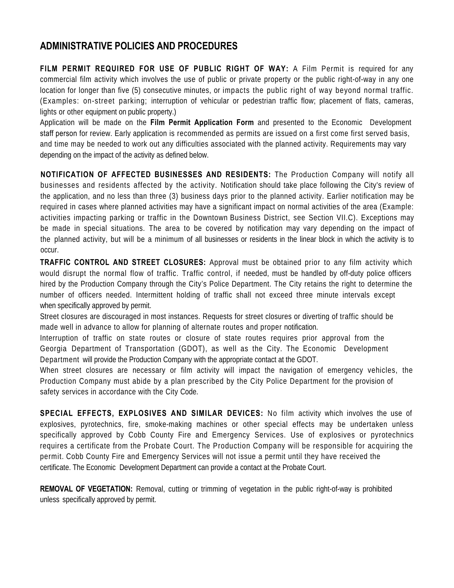### **ADMINISTRATIVE POLICIES AND PROCEDURES**

**FILM PERMIT REQUIRED FOR USE OF PUBLIC RIGHT OF WAY:** A Film Permit is required for any commercial film activity which involves the use of public or private property or the public right-of-way in any one location for longer than five (5) consecutive minutes, or impacts the public right of way beyond normal traffic. (Examples: on-street parking; interruption of vehicular or pedestrian traffic flow; placement of flats, cameras, lights or other equipment on public property.)

Application will be made on the **Film Permit Application Form** and presented to the Economic Development staff person for review. Early application is recommended as permits are issued on a first come first served basis, and time may be needed to work out any difficulties associated with the planned activity. Requirements may vary depending on the impact of the activity as defined below.

**NOTIFICATION OF AFFECTED BUSINESSES AND RESIDENTS:** The Production Company will notify all businesses and residents affected by the activity. Notification should take place following the City's review of the application, and no less than three (3) business days prior to the planned activity. Earlier notification may be required in cases where planned activities may have a significant impact on normal activities of the area (Example: activities impacting parking or traffic in the Downtown Business District, see Section VII.C). Exceptions may be made in special situations. The area to be covered by notification may vary depending on the impact of the planned activity, but will be a minimum of all businesses or residents in the linear block in which the activity is to occur.

**TRAFFIC CONTROL AND STREET CLOSURES:** Approval must be obtained prior to any film activity which would disrupt the normal flow of traffic. Traffic control, if needed, must be handled by off-duty police officers hired by the Production Company through the City's Police Department. The City retains the right to determine the number of officers needed. Intermittent holding of traffic shall not exceed three minute intervals except when specifically approved by permit.

Street closures are discouraged in most instances. Requests for street closures or diverting of traffic should be made well in advance to allow for planning of alternate routes and proper notification.

Interruption of traffic on state routes or closure of state routes requires prior approval from the Georgia Department of Transportation (GDOT), as well as the City. The Economic Development Department will provide the Production Company with the appropriate contact at the GDOT.

When street closures are necessary or film activity will impact the navigation of emergency vehicles, the Production Company must abide by a plan prescribed by the City Police Department for the provision of safety services in accordance with the City Code.

**SPECIAL EFFECTS, EXPLOSIVES AND SIMILAR DEVICES:** No film activity which involves the use of explosives, pyrotechnics, fire, smoke-making machines or other special effects may be undertaken unless specifically approved by Cobb County Fire and Emergency Services. Use of explosives or pyrotechnics requires a certificate from the Probate Court. The Production Company will be responsible for acquiring the permit. Cobb County Fire and Emergency Services will not issue a permit until they have received the certificate. The Economic Development Department can provide a contact at the Probate Court.

**REMOVAL OF VEGETATION:** Removal, cutting or trimming of vegetation in the public right-of-way is prohibited unless specifically approved by permit.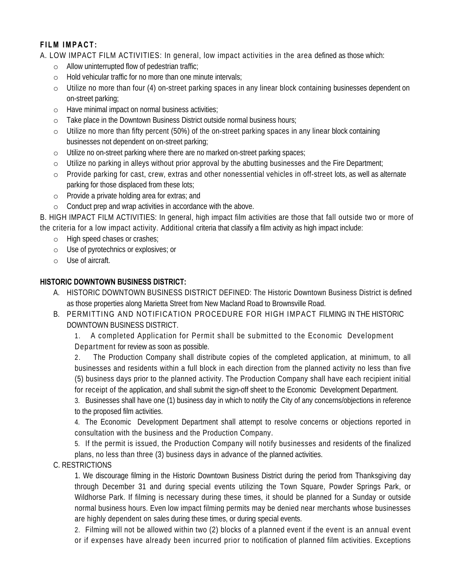#### **FILM IMPACT:**

A. LOW IMPACT FILM ACTIVITIES: In general, low impact activities in the area defined as those which:

- o Allow uninterrupted flow of pedestrian traffic;
- o Hold vehicular traffic for no more than one minute intervals;
- o Utilize no more than four (4) on-street parking spaces in any linear block containing businesses dependent on on-street parking;
- o Have minimal impact on normal business activities;
- o Take place in the Downtown Business District outside normal business hours;
- o Utilize no more than fifty percent (50%) of the on-street parking spaces in any linear block containing businesses not dependent on on-street parking;
- o Utilize no on-street parking where there are no marked on-street parking spaces;
- o Utilize no parking in alleys without prior approval by the abutting businesses and the Fire Department;
- o Provide parking for cast, crew, extras and other nonessential vehicles in off-street lots, as well as alternate parking for those displaced from these lots;
- o Provide a private holding area for extras; and
- o Conduct prep and wrap activities in accordance with the above.

B. HIGH IMPACT FILM ACTIVITIES: In general, high impact film activities are those that fall outside two or more of the criteria for a low impact activity. Additional criteria that classify a film activity as high impact include:

- o High speed chases or crashes;
- o Use of pyrotechnics or explosives; or
- o Use of aircraft.

#### **HISTORIC DOWNTOWN BUSINESS DISTRICT:**

- A. HISTORIC DOWNTOWN BUSINESS DISTRICT DEFINED: The Historic Downtown Business District is defined as those properties along Marietta Street from New Macland Road to Brownsville Road.
- B. PERMITTING AND NOTIFICATION PROCEDURE FOR HIGH IMPACT FILMING IN THE HISTORIC DOWNTOWN BUSINESS DISTRICT.

1. A completed Application for Permit shall be submitted to the Economic Development Department for review as soon as possible.

2. The Production Company shall distribute copies of the completed application, at minimum, to all businesses and residents within a full block in each direction from the planned activity no less than five (5) business days prior to the planned activity. The Production Company shall have each recipient initial for receipt of the application, and shall submit the sign-off sheet to the Economic Development Department.

3. Businesses shall have one (1) business day in which to notify the City of any concerns/objections in reference to the proposed film activities.

4. The Economic Development Department shall attempt to resolve concerns or objections reported in consultation with the business and the Production Company.

5. If the permit is issued, the Production Company will notify businesses and residents of the finalized plans, no less than three (3) business days in advance of the planned activities.

C. RESTRICTIONS

1. We discourage filming in the Historic Downtown Business District during the period from Thanksgiving day through December 31 and during special events utilizing the Town Square, Powder Springs Park, or Wildhorse Park. If filming is necessary during these times, it should be planned for a Sunday or outside normal business hours. Even low impact filming permits may be denied near merchants whose businesses are highly dependent on sales during these times, or during special events.

2. Filming will not be allowed within two (2) blocks of a planned event if the event is an annual event or if expenses have already been incurred prior to notification of planned film activities. Exceptions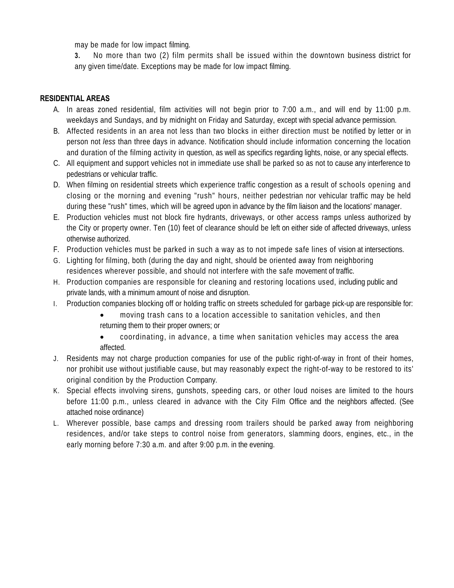may be made for low impact filming.

**3.** No more than two (2) film permits shall be issued within the downtown business district for any given time/date. Exceptions may be made for low impact filming.

#### **RESIDENTIAL AREAS**

- A. In areas zoned residential, film activities will not begin prior to 7:00 a.m., and will end by 11:00 p.m. weekdays and Sundays, and by midnight on Friday and Saturday, except with special advance permission.
- B. Affected residents in an area not less than two blocks in either direction must be notified by letter or in person not *less* than three days in advance. Notification should include information concerning the location and duration of the filming activity in question, as well as specifics regarding lights, noise, or any special effects.
- C. All equipment and support vehicles not in immediate use shall be parked so as not to cause any interference to pedestrians or vehicular traffic.
- D. When filming on residential streets which experience traffic congestion as a result of schools opening and closing or the morning and evening "rush" hours, neither pedestrian nor vehicular traffic may be held during these "rush" times, which will be agreed upon in advance by the film liaison and the locations' manager.
- E. Production vehicles must not block fire hydrants, driveways, or other access ramps unless authorized by the City or property owner. Ten (10) feet of clearance should be left on either side of affected driveways, unless otherwise authorized.
- F. Production vehicles must be parked in such a way as to not impede safe lines of vision at intersections.
- G. Lighting for filming, both (during the day and night, should be oriented away from neighboring residences wherever possible, and should not interfere with the safe movement of traffic.
- H. Production companies are responsible for cleaning and restoring locations used, including public and private lands, with a minimum amount of noise and disruption.
- I. Production companies blocking off or holding traffic on streets scheduled for garbage pick-up are responsible for:
	- moving trash cans to a location accessible to sanitation vehicles, and then returning them to their proper owners; or
	- coordinating, in advance, a time when sanitation vehicles may access the area affected.
- J. Residents may not charge production companies for use of the public right-of-way in front of their homes, nor prohibit use without justifiable cause, but may reasonably expect the right-of-way to be restored to its' original condition by the Production Company.
- K. Special effects involving sirens, gunshots, speeding cars, or other loud noises are limited to the hours before 11:00 p.m., unless cleared in advance with the City Film Office and the neighbors affected. (See attached noise ordinance)
- L. Wherever possible, base camps and dressing room trailers should be parked away from neighboring residences, and/or take steps to control noise from generators, slamming doors, engines, etc., in the early morning before 7:30 a.m. and after 9:00 p.m. in the evening.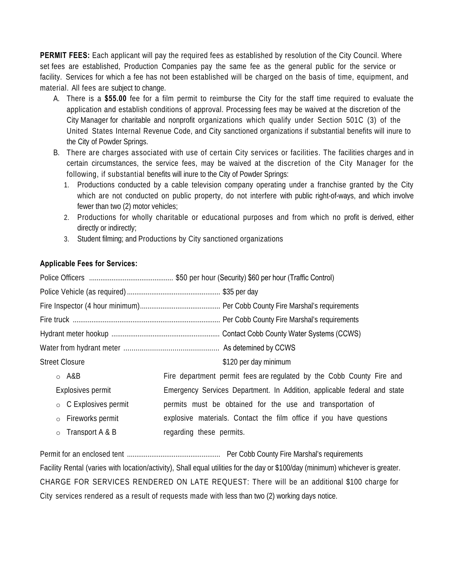**PERMIT FEES:** Each applicant will pay the required fees as established by resolution of the City Council. Where set fees are established, Production Companies pay the same fee as the general public for the service or facility. Services for which a fee has not been established will be charged on the basis of time, equipment, and material. All fees are subject to change.

- A. There is a **\$55.00** fee for a film permit to reimburse the City for the staff time required to evaluate the application and establish conditions of approval. Processing fees may be waived at the discretion of the City Manager for charitable and nonprofit organizations which qualify under Section 501C (3) of the United States Internal Revenue Code, and City sanctioned organizations if substantial benefits will inure to the City of Powder Springs.
- B. There are charges associated with use of certain City services or facilities. The facilities charges and in certain circumstances, the service fees, may be waived at the discretion of the City Manager for the following, if substantial benefits will inure to the City of Powder Springs:
	- 1. Productions conducted by a cable television company operating under a franchise granted by the City which are not conducted on public property, do not interfere with public right-of-ways, and which involve fewer than two (2) motor vehicles;
	- 2. Productions for wholly charitable or educational purposes and from which no profit is derived, either directly or indirectly;
	- 3. Student filming; and Productions by City sanctioned organizations

#### **Applicable Fees for Services:**

| <b>Street Closure</b>       | \$120 per day minimum                                                    |  |  |  |
|-----------------------------|--------------------------------------------------------------------------|--|--|--|
| $\circ$ A&B                 | Fire department permit fees are regulated by the Cobb County Fire and    |  |  |  |
| Explosives permit           | Emergency Services Department. In Addition, applicable federal and state |  |  |  |
| $\circ$ C Explosives permit | permits must be obtained for the use and transportation of               |  |  |  |

o Fireworks permit o Transport A & B explosive materials. Contact the film office if you have questions regarding these permits.

Permit for an enclosed tent .................................................. Per Cobb County Fire Marshal's requirements Facility Rental (varies with location/activity), Shall equal utilities for the day or \$100/day (minimum) whichever is greater. CHARGE FOR SERVICES RENDERED ON LATE REQUEST: There will be an additional \$100 charge for City services rendered as a result of requests made with less than two (2) working days notice.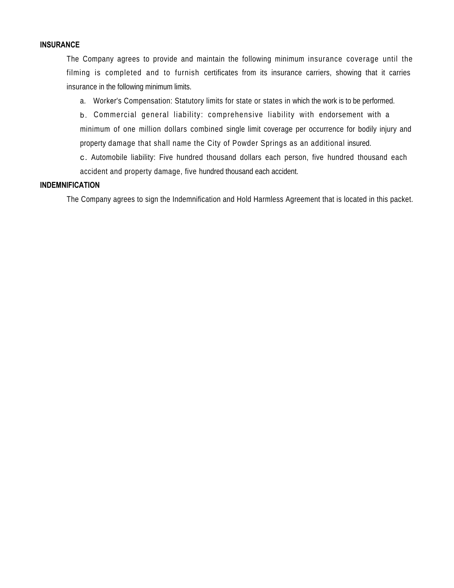#### **INSURANCE**

The Company agrees to provide and maintain the following minimum insurance coverage until the filming is completed and to furnish certificates from its insurance carriers, showing that it carries insurance in the following minimum limits.

a. Worker's Compensation: Statutory limits for state or states in which the work is to be performed.

b. Commercial general liability: comprehensive liability with endorsement with a minimum of one million dollars combined single limit coverage per occurrence for bodily injury and property damage that shall name the City of Powder Springs as an additional insured.

c. Automobile liability: Five hundred thousand dollars each person, five hundred thousand each accident and property damage, five hundred thousand each accident.

#### **INDEMNIFICATION**

The Company agrees to sign the Indemnification and Hold Harmless Agreement that is located in this packet.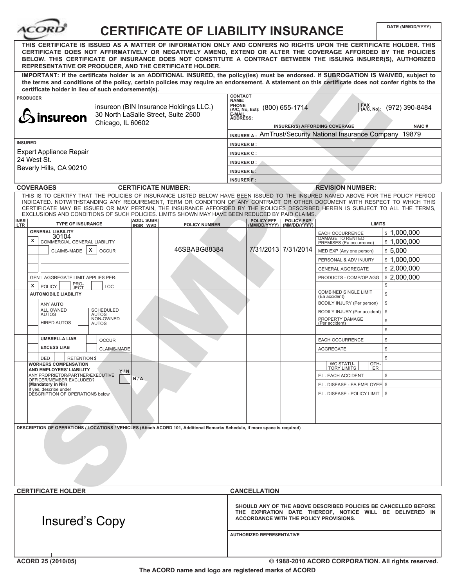| ACORI                                                                                                                                                                                                                                                                                                                                                                                                                                                         | DATE (MM/DD/YYYY)                                                                                                                                                                                                                                            |  |  |  |  |  |  |
|---------------------------------------------------------------------------------------------------------------------------------------------------------------------------------------------------------------------------------------------------------------------------------------------------------------------------------------------------------------------------------------------------------------------------------------------------------------|--------------------------------------------------------------------------------------------------------------------------------------------------------------------------------------------------------------------------------------------------------------|--|--|--|--|--|--|
| <b>CERTIFICATE OF LIABILITY INSURANCE</b><br>THIS CERTIFICATE IS ISSUED AS A MATTER OF INFORMATION ONLY AND CONFERS NO RIGHTS UPON THE CERTIFICATE HOLDER. THIS<br>CERTIFICATE DOES NOT AFFIRMATIVELY OR NEGATIVELY AMEND, EXTEND OR ALTER THE COVERAGE AFFORDED BY THE POLICIES<br>BELOW. THIS CERTIFICATE OF INSURANCE DOES NOT CONSTITUTE A CONTRACT BETWEEN THE ISSUING INSURER(S), AUTHORIZED<br>REPRESENTATIVE OR PRODUCER, AND THE CERTIFICATE HOLDER. |                                                                                                                                                                                                                                                              |  |  |  |  |  |  |
| IMPORTANT: If the certificate holder is an ADDITIONAL INSURED, the policy(ies) must be endorsed. If SUBROGATION IS WAIVED, subject to<br>the terms and conditions of the policy, certain policies may require an endorsement. A statement on this certificate does not confer rights to the<br>certificate holder in lieu of such endorsement(s).                                                                                                             |                                                                                                                                                                                                                                                              |  |  |  |  |  |  |
| <b>PRODUCER</b>                                                                                                                                                                                                                                                                                                                                                                                                                                               | <b>CONTACT</b><br>NAME:                                                                                                                                                                                                                                      |  |  |  |  |  |  |
| insureon (BIN Insurance Holdings LLC.)                                                                                                                                                                                                                                                                                                                                                                                                                        | <b>PHONE</b><br>FAX<br>(A/C, No):<br>(800) 655-1714<br>(972) 390-8484<br>$(A/C, No, Ext)$ :                                                                                                                                                                  |  |  |  |  |  |  |
| 30 North LaSalle Street, Suite 2500<br>insureon                                                                                                                                                                                                                                                                                                                                                                                                               | È-MAIL<br>ADDRESS:                                                                                                                                                                                                                                           |  |  |  |  |  |  |
| Chicago, IL 60602                                                                                                                                                                                                                                                                                                                                                                                                                                             | INSURER(S) AFFORDING COVERAGE<br><b>NAIC#</b>                                                                                                                                                                                                                |  |  |  |  |  |  |
|                                                                                                                                                                                                                                                                                                                                                                                                                                                               | 19879<br><b>INSURER A: AMTrust/Security National Insurance Company</b>                                                                                                                                                                                       |  |  |  |  |  |  |
| <b>INSURED</b>                                                                                                                                                                                                                                                                                                                                                                                                                                                | <b>INSURER B:</b>                                                                                                                                                                                                                                            |  |  |  |  |  |  |
| <b>Expert Appliance Repair</b>                                                                                                                                                                                                                                                                                                                                                                                                                                | <b>INSURER C:</b>                                                                                                                                                                                                                                            |  |  |  |  |  |  |
| 24 West St.                                                                                                                                                                                                                                                                                                                                                                                                                                                   | INSURER D:                                                                                                                                                                                                                                                   |  |  |  |  |  |  |
| Beverly Hills, CA 90210                                                                                                                                                                                                                                                                                                                                                                                                                                       | <b>INSURER E:</b>                                                                                                                                                                                                                                            |  |  |  |  |  |  |
|                                                                                                                                                                                                                                                                                                                                                                                                                                                               | <b>INSURER F:</b>                                                                                                                                                                                                                                            |  |  |  |  |  |  |
| <b>COVERAGES</b><br><b>CERTIFICATE NUMBER:</b>                                                                                                                                                                                                                                                                                                                                                                                                                | <b>REVISION NUMBER:</b>                                                                                                                                                                                                                                      |  |  |  |  |  |  |
|                                                                                                                                                                                                                                                                                                                                                                                                                                                               | THIS IS TO CERTIFY THAT THE POLICIES OF INSURANCE LISTED BELOW HAVE BEEN ISSUED TO THE INSURED NAMED ABOVE FOR THE POLICY PERIOD                                                                                                                             |  |  |  |  |  |  |
| EXCLUSIONS AND CONDITIONS OF SUCH POLICIES. LIMITS SHOWN MAY HAVE BEEN REDUCED BY PAID CLAIMS.                                                                                                                                                                                                                                                                                                                                                                | INDICATED. NOTWITHSTANDING ANY REQUIREMENT, TERM OR CONDITION OF ANY CONTRACT OR OTHER DOCUMENT WITH RESPECT TO WHICH THIS<br>CERTIFICATE MAY BE ISSUED OR MAY PERTAIN, THE INSURANCE AFFORDED BY THE POLICIES DESCRIBED HEREIN IS SUBJECT TO ALL THE TERMS, |  |  |  |  |  |  |
| <b>ADDL SUBR</b><br><b>INSR</b><br><b>TYPE OF INSURANCE</b><br><b>POLICY NUMBER</b><br><b>LTR</b><br>INSR WVD                                                                                                                                                                                                                                                                                                                                                 | POLICY EFF POLICY EXP<br>(MM/DD/YYYY) (MM/DD/YYYY)<br><b>LIMITS</b>                                                                                                                                                                                          |  |  |  |  |  |  |
| <b>GENERAL LIABILITY</b>                                                                                                                                                                                                                                                                                                                                                                                                                                      | \$1,000,000<br>EACH OCCURRENCE                                                                                                                                                                                                                               |  |  |  |  |  |  |
| 30104<br>х<br>COMMERCIAL GENERAL LIABILITY                                                                                                                                                                                                                                                                                                                                                                                                                    | <b>DAMAGE TO RENTED</b><br>\$1,000,000<br>PREMISES (Ea occurrence)                                                                                                                                                                                           |  |  |  |  |  |  |
| 46SBABG88384<br>CLAIMS-MADE   X<br><b>OCCUR</b>                                                                                                                                                                                                                                                                                                                                                                                                               | 7/31/2013 7/31/2014<br>\$5,000<br>MED EXP (Any one person)                                                                                                                                                                                                   |  |  |  |  |  |  |
|                                                                                                                                                                                                                                                                                                                                                                                                                                                               | \$1,000,000<br>PERSONAL & ADV INJURY                                                                                                                                                                                                                         |  |  |  |  |  |  |
|                                                                                                                                                                                                                                                                                                                                                                                                                                                               | \$2,000,000<br><b>GENERAL AGGREGATE</b>                                                                                                                                                                                                                      |  |  |  |  |  |  |
| GEN'L AGGREGATE LIMIT APPLIES PER:                                                                                                                                                                                                                                                                                                                                                                                                                            | \$2,000,000<br>PRODUCTS - COMP/OP AGG                                                                                                                                                                                                                        |  |  |  |  |  |  |
| PRO-<br>JECT<br>x<br><b>POLICY</b><br>LOC                                                                                                                                                                                                                                                                                                                                                                                                                     | $\mathbb S$                                                                                                                                                                                                                                                  |  |  |  |  |  |  |
| <b>AUTOMOBILE LIABILITY</b>                                                                                                                                                                                                                                                                                                                                                                                                                                   | <b>COMBINED SINGLE LIMIT</b><br>$\mathbb{S}$<br>(Ea accident)                                                                                                                                                                                                |  |  |  |  |  |  |
| ANY AUTO                                                                                                                                                                                                                                                                                                                                                                                                                                                      | $\mathbb S$<br>BODILY INJURY (Per person)                                                                                                                                                                                                                    |  |  |  |  |  |  |
| <b>ALL OWNED</b><br><b>SCHEDULED</b><br><b>AUTOS</b><br><b>AUTOS</b>                                                                                                                                                                                                                                                                                                                                                                                          | $\mathbb S$<br>BODILY INJURY (Per accident)                                                                                                                                                                                                                  |  |  |  |  |  |  |
| NON-OWNED<br><b>HIRED AUTOS</b><br><b>AUTOS</b>                                                                                                                                                                                                                                                                                                                                                                                                               | PROPERTY DAMAGE<br>\$<br>(Per accident)                                                                                                                                                                                                                      |  |  |  |  |  |  |
|                                                                                                                                                                                                                                                                                                                                                                                                                                                               | \$                                                                                                                                                                                                                                                           |  |  |  |  |  |  |
| <b>UMBRELLA LIAB</b><br><b>OCCUR</b>                                                                                                                                                                                                                                                                                                                                                                                                                          | EACH OCCURRENCE<br>\$                                                                                                                                                                                                                                        |  |  |  |  |  |  |
| <b>EXCESS LIAB</b><br><b>CLAIMS-MADE</b>                                                                                                                                                                                                                                                                                                                                                                                                                      | <b>AGGREGATE</b><br>\$                                                                                                                                                                                                                                       |  |  |  |  |  |  |
| DED<br><b>RETENTION \$</b>                                                                                                                                                                                                                                                                                                                                                                                                                                    | \$                                                                                                                                                                                                                                                           |  |  |  |  |  |  |
| <b>WORKERS COMPENSATION</b>                                                                                                                                                                                                                                                                                                                                                                                                                                   | WC STATU-<br>OTH-<br><b>TORY LIMITS</b><br>ER.                                                                                                                                                                                                               |  |  |  |  |  |  |
| AND EMPLOYERS' LIABILITY<br>Y / N<br>ANY PROPRIETOR/PARTNER/EXECUTIVE                                                                                                                                                                                                                                                                                                                                                                                         | E.L. EACH ACCIDENT<br>\$                                                                                                                                                                                                                                     |  |  |  |  |  |  |
| N/A<br>OFFICER/MEMBER EXCLUDED?<br>(Mandatory in NH)                                                                                                                                                                                                                                                                                                                                                                                                          | E.L. DISEASE - EA EMPLOYEE \$                                                                                                                                                                                                                                |  |  |  |  |  |  |
| If yes, describe under<br>DÉSCRIPTION OF OPERATIONS below                                                                                                                                                                                                                                                                                                                                                                                                     | E.L. DISEASE - POLICY LIMIT  <br>-S                                                                                                                                                                                                                          |  |  |  |  |  |  |
|                                                                                                                                                                                                                                                                                                                                                                                                                                                               |                                                                                                                                                                                                                                                              |  |  |  |  |  |  |
|                                                                                                                                                                                                                                                                                                                                                                                                                                                               |                                                                                                                                                                                                                                                              |  |  |  |  |  |  |
|                                                                                                                                                                                                                                                                                                                                                                                                                                                               |                                                                                                                                                                                                                                                              |  |  |  |  |  |  |
| DESCRIPTION OF OPERATIONS / LOCATIONS / VEHICLES (Attach ACORD 101, Additional Remarks Schedule, if more space is required)                                                                                                                                                                                                                                                                                                                                   |                                                                                                                                                                                                                                                              |  |  |  |  |  |  |
|                                                                                                                                                                                                                                                                                                                                                                                                                                                               |                                                                                                                                                                                                                                                              |  |  |  |  |  |  |
|                                                                                                                                                                                                                                                                                                                                                                                                                                                               |                                                                                                                                                                                                                                                              |  |  |  |  |  |  |
|                                                                                                                                                                                                                                                                                                                                                                                                                                                               |                                                                                                                                                                                                                                                              |  |  |  |  |  |  |
|                                                                                                                                                                                                                                                                                                                                                                                                                                                               |                                                                                                                                                                                                                                                              |  |  |  |  |  |  |
|                                                                                                                                                                                                                                                                                                                                                                                                                                                               |                                                                                                                                                                                                                                                              |  |  |  |  |  |  |
|                                                                                                                                                                                                                                                                                                                                                                                                                                                               |                                                                                                                                                                                                                                                              |  |  |  |  |  |  |
| <b>CERTIFICATE HOLDER</b>                                                                                                                                                                                                                                                                                                                                                                                                                                     | <b>CANCELLATION</b>                                                                                                                                                                                                                                          |  |  |  |  |  |  |
|                                                                                                                                                                                                                                                                                                                                                                                                                                                               |                                                                                                                                                                                                                                                              |  |  |  |  |  |  |
| Insured's Copy                                                                                                                                                                                                                                                                                                                                                                                                                                                | SHOULD ANY OF THE ABOVE DESCRIBED POLICIES BE CANCELLED BEFORE<br>THE EXPIRATION DATE THEREOF, NOTICE WILL BE DELIVERED IN<br>ACCORDANCE WITH THE POLICY PROVISIONS.                                                                                         |  |  |  |  |  |  |
|                                                                                                                                                                                                                                                                                                                                                                                                                                                               | <b>AUTHORIZED REPRESENTATIVE</b>                                                                                                                                                                                                                             |  |  |  |  |  |  |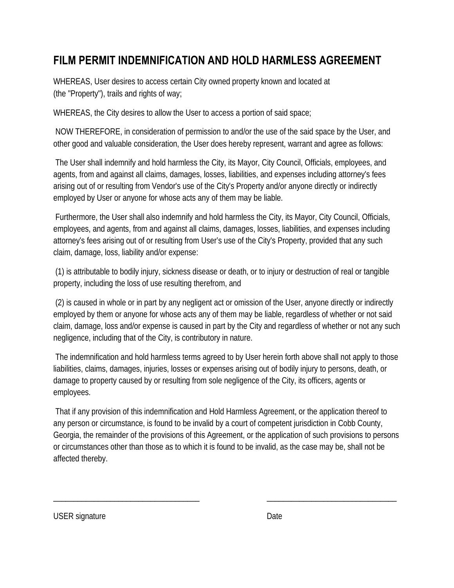# **FILM PERMIT INDEMNIFICATION AND HOLD HARMLESS AGREEMENT**

WHEREAS, User desires to access certain City owned property known and located at (the "Property"), trails and rights of way;

WHEREAS, the City desires to allow the User to access a portion of said space;

NOW THEREFORE, in consideration of permission to and/or the use of the said space by the User, and other good and valuable consideration, the User does hereby represent, warrant and agree as follows:

The User shall indemnify and hold harmless the City, its Mayor, City Council, Officials, employees, and agents, from and against all claims, damages, losses, liabilities, and expenses including attorney's fees arising out of or resulting from Vendor's use of the City's Property and/or anyone directly or indirectly employed by User or anyone for whose acts any of them may be liable.

Furthermore, the User shall also indemnify and hold harmless the City, its Mayor, City Council, Officials, employees, and agents, from and against all claims, damages, losses, liabilities, and expenses including attorney's fees arising out of or resulting from User's use of the City's Property, provided that any such claim, damage, loss, liability and/or expense:

(1) is attributable to bodily injury, sickness disease or death, or to injury or destruction of real or tangible property, including the loss of use resulting therefrom, and

(2) is caused in whole or in part by any negligent act or omission of the User, anyone directly or indirectly employed by them or anyone for whose acts any of them may be liable, regardless of whether or not said claim, damage, loss and/or expense is caused in part by the City and regardless of whether or not any such negligence, including that of the City, is contributory in nature.

The indemnification and hold harmless terms agreed to by User herein forth above shall not apply to those liabilities, claims, damages, injuries, losses or expenses arising out of bodily injury to persons, death, or damage to property caused by or resulting from sole negligence of the City, its officers, agents or employees.

That if any provision of this indemnification and Hold Harmless Agreement, or the application thereof to any person or circumstance, is found to be invalid by a court of competent jurisdiction in Cobb County, Georgia, the remainder of the provisions of this Agreement, or the application of such provisions to persons or circumstances other than those as to which it is found to be invalid, as the case may be, shall not be affected thereby.

\_\_\_\_\_\_\_\_\_\_\_\_\_\_\_\_\_\_\_\_\_\_\_\_\_\_\_\_\_\_\_\_\_\_\_\_ \_\_\_\_\_\_\_\_\_\_\_\_\_\_\_\_\_\_\_\_\_\_\_\_\_\_\_\_\_\_\_\_

USER signature Date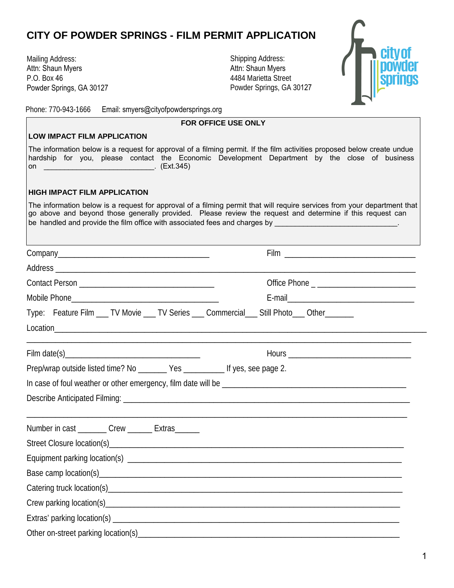## **CITY OF POWDER SPRINGS - FILM PERMIT APPLICATION**

Mailing Address: Attn: Shaun Myers P.O. Box 46 Powder Springs, GA 30127 Shipping Address: Attn: Shaun Myers 4484 Marietta Street Powder Springs, GA 30127



Phone: 770-943-1666 Email: smyers@cityofpowdersprings.org

| <b>FOR OFFICE USE ONLY</b>                                                                                                                                                                                                     |                                                                                                                                                                                                                                                                                                                                                                                                                                                                         |  |  |  |  |  |
|--------------------------------------------------------------------------------------------------------------------------------------------------------------------------------------------------------------------------------|-------------------------------------------------------------------------------------------------------------------------------------------------------------------------------------------------------------------------------------------------------------------------------------------------------------------------------------------------------------------------------------------------------------------------------------------------------------------------|--|--|--|--|--|
| <b>LOW IMPACT FILM APPLICATION</b>                                                                                                                                                                                             |                                                                                                                                                                                                                                                                                                                                                                                                                                                                         |  |  |  |  |  |
| The information below is a request for approval of a filming permit. If the film activities proposed below create undue<br>hardship for you, please contact the Economic Development Department by the close of business<br>on |                                                                                                                                                                                                                                                                                                                                                                                                                                                                         |  |  |  |  |  |
| <b>HIGH IMPACT FILM APPLICATION</b>                                                                                                                                                                                            |                                                                                                                                                                                                                                                                                                                                                                                                                                                                         |  |  |  |  |  |
|                                                                                                                                                                                                                                | The information below is a request for approval of a filming permit that will require services from your department that<br>go above and beyond those generally provided. Please review the request and determine if this request can<br>be handled and provide the film office with associated fees and charges by with a series of the handled and provide the film office with associated fees and charges by with a series of the series of the series of the handl |  |  |  |  |  |
|                                                                                                                                                                                                                                |                                                                                                                                                                                                                                                                                                                                                                                                                                                                         |  |  |  |  |  |
| Address                                                                                                                                                                                                                        |                                                                                                                                                                                                                                                                                                                                                                                                                                                                         |  |  |  |  |  |
|                                                                                                                                                                                                                                |                                                                                                                                                                                                                                                                                                                                                                                                                                                                         |  |  |  |  |  |
|                                                                                                                                                                                                                                |                                                                                                                                                                                                                                                                                                                                                                                                                                                                         |  |  |  |  |  |
| Type: Feature Film ___ TV Movie ___ TV Series ___ Commercial___ Still Photo___ Other_______                                                                                                                                    |                                                                                                                                                                                                                                                                                                                                                                                                                                                                         |  |  |  |  |  |
|                                                                                                                                                                                                                                |                                                                                                                                                                                                                                                                                                                                                                                                                                                                         |  |  |  |  |  |
|                                                                                                                                                                                                                                |                                                                                                                                                                                                                                                                                                                                                                                                                                                                         |  |  |  |  |  |
| Prep/wrap outside listed time? No ________ Yes ___________ If yes, see page 2.                                                                                                                                                 |                                                                                                                                                                                                                                                                                                                                                                                                                                                                         |  |  |  |  |  |
|                                                                                                                                                                                                                                |                                                                                                                                                                                                                                                                                                                                                                                                                                                                         |  |  |  |  |  |
|                                                                                                                                                                                                                                |                                                                                                                                                                                                                                                                                                                                                                                                                                                                         |  |  |  |  |  |
| Number in cast ________ Crew ______ Extras ______                                                                                                                                                                              |                                                                                                                                                                                                                                                                                                                                                                                                                                                                         |  |  |  |  |  |
|                                                                                                                                                                                                                                |                                                                                                                                                                                                                                                                                                                                                                                                                                                                         |  |  |  |  |  |
|                                                                                                                                                                                                                                |                                                                                                                                                                                                                                                                                                                                                                                                                                                                         |  |  |  |  |  |
|                                                                                                                                                                                                                                |                                                                                                                                                                                                                                                                                                                                                                                                                                                                         |  |  |  |  |  |
|                                                                                                                                                                                                                                |                                                                                                                                                                                                                                                                                                                                                                                                                                                                         |  |  |  |  |  |
|                                                                                                                                                                                                                                |                                                                                                                                                                                                                                                                                                                                                                                                                                                                         |  |  |  |  |  |
|                                                                                                                                                                                                                                |                                                                                                                                                                                                                                                                                                                                                                                                                                                                         |  |  |  |  |  |
|                                                                                                                                                                                                                                |                                                                                                                                                                                                                                                                                                                                                                                                                                                                         |  |  |  |  |  |